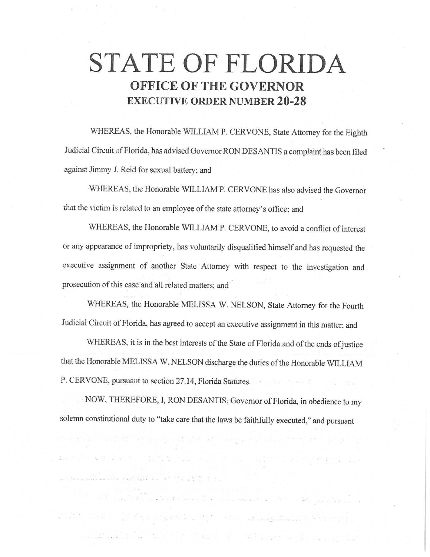# **STATE OF FLORIDA OFFICE OF THE GOVERNOR EXECUTIVE ORDER NUMBER 20-28**

WHEREAS, the Honorable WILLIAM P. CERVONE, State Attorney for the Eighth Judicial Circuit of Florida, has advised Governor RON DESANTIS a complaint has been filed against Jimmy J. Reid for sexual battery; and

WHEREAS, the Honorable WILLIAM P. CERVONE has also advised the Governor that the victim is related to an employee of the state attorney's office; and

WHEREAS, the Honorable WILLIAM P. CERVONE, to avoid a conflict of interest or any appearance of impropriety, has voluntarily disqualified himself and has requested the executive assignment of another State Attorney with respect to the investigation and prosecution of this case and all related matters; and

WHEREAS, the Honorable MELISSA W. NELSON, State Attorney for the Fourth Judicial Circuit of Florida, has agreed to accept an executive assignment in this matter; and

WHEREAS, it is in the best interests of the State of Florida and of the ends of justice that the Honorable MELISSA W. NELSON discharge the duties of the Honorable WILLIAM P. CERVONE, pursuant to section 27.14, Florida Statutes.

NOW, THEREFORE, I, RON DESANTIS, Governor of Florida, in obedience to my solemn constitutional duty to ''take care that the laws be faithfully executed," and pursuant

" a strait of the state of the state of the state of the state of the state of the state of the state of the state of the state of the state of the state of the state of the state of the state of the state of the state of

pod Car roomer was wade and field to the two start of the <u> 2005 - Andreas Andreas Andreas Andreas Andreas Andreas Andreas Andreas Andreas Andreas Andreas Andreas Andreas</u>

a Salar II a that she are a part of the salar form of the state of the salar processes and the salar part of the

a state of a following state of a state of a state of a state of a state of a state of a state of a state of a

 $R_{\text{max}}(x,y,z)=\text{Re}\left(Y_{\text{max}}(x,y,z)-\frac{1}{2}\left(x^2+y^2\right)\right),\quad R_{\text{max}}(x,y,z)=\text{Re}\left(Y_{\text{max}}(x,y)-\frac{1}{2}\left(x^2+y^2\right)\right),\quad R_{\text{max}}(x,y,z)=\text{Im}\left(Y_{\text{max}}(x,y)-\frac{1}{2}\left(x^2+y^2\right)\right),\quad R_{\text{max}}(x,y,z)=\text{Im}\left(Y_{\text{max}}(x,y)-\frac{1}{2}\left(x^2+y^2\right)\right),\quad R_{\text{max}}(x,y,z)=\text{Im}\left(Y$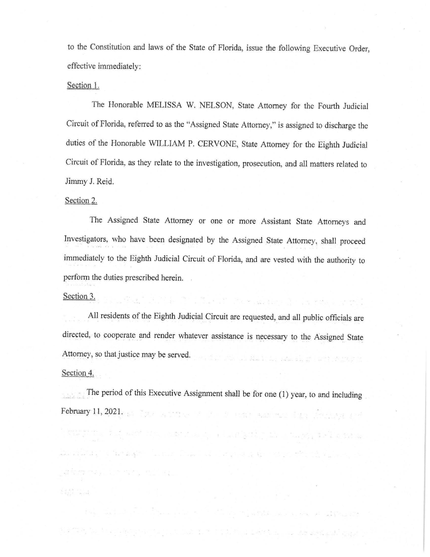to the Constitution and laws of the State of Florida, issue the following Executive Order, effective immediately:

## Section 1.

The Honorable MELISSA W. NELSON, State Attorney for the Fourth Judicial Circuit of Florida, referred to as the "Assigned State Attorney," is assigned to discharge the duties of the Honorable WILLIAM P. CERVONE, State Attorney for the Eighth Judicial Circuit of Florida, as they relate to the investigation, prosecution, and all matters related to Jimmy J. Reid.

### Section 2.

The Assigned State Attorney or one or more Assistant State Attorneys and Investigators, who have been designated by the Assigned State Attorney, shall proceed immediately to the Eighth Judicial Circuit of Florida, and are vested with the authority to perform the duties prescribed herein.

#### Section 3.

All residents of the Eighth Judicial Circuit are requested, and all public officials are directed, to cooperate and render whatever assistance is necessary to the Assigned State Attorney, so that justice may be served.

The State Property of State of the

#### Section 4.

 $\label{eq:2.1} \begin{array}{ll} \mathbb{R} & \mathbb{R}^{n \times n} \equiv 0 \, , \\ \mathbb{R}^{n \times n} & \mathbb{R}^{n \times n \times n} \end{array}$ 

with the state of the state of the state of the state of the state of the state of the state of the state of the state of the state of the state of the state of the state of the state of the state of the state of the state

The period of this Executive Assignment shall be for one (1) year, to and including February 11, 2021. The contraction of the contraction of the contraction of the contraction of the contraction of the contraction of the contraction of the contraction of the contraction of the contraction of the contracti

the second control of the control of the second control of the second control of the second control of the second control of the second control of the second control of the second control of the second control of the secon

and the state of the same of the state of the state of the state of the state of the state of the state of the

Engineering the film of a contract of the match and a contract of the state

Samte, the Allegian option the plant was determined by the absolute and and and experi